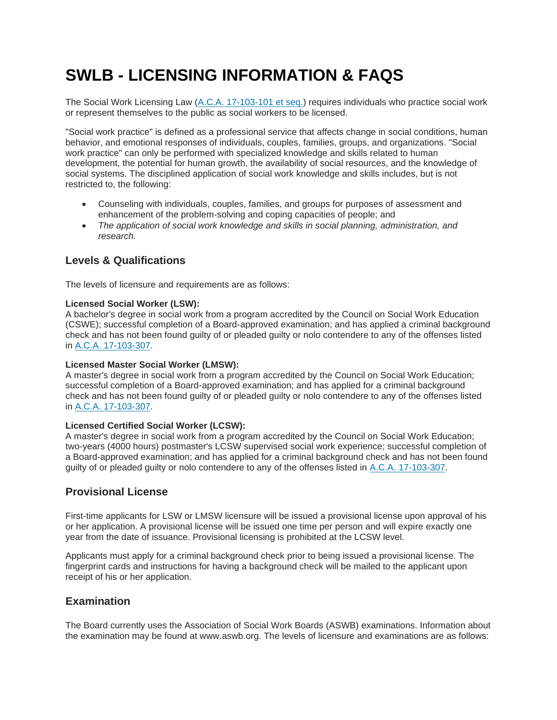# **SWLB - LICENSING INFORMATION & FAQS**

The Social Work Licensing Law [\(A.C.A. 17-103-101 et seq.\)](https://www.healthy.arkansas.gov/images/uploads/pdf/ACT1170of2015.pdf) requires individuals who practice social work or represent themselves to the public as social workers to be licensed.

"Social work practice" is defined as a professional service that affects change in social conditions, human behavior, and emotional responses of individuals, couples, families, groups, and organizations. "Social work practice" can only be performed with specialized knowledge and skills related to human development, the potential for human growth, the availability of social resources, and the knowledge of social systems. The disciplined application of social work knowledge and skills includes, but is not restricted to, the following:

- Counseling with individuals, couples, families, and groups for purposes of assessment and enhancement of the problem-solving and coping capacities of people; and
- *The application of social work knowledge and skills in social planning, administration, and research.*

# **Levels & Qualifications**

The levels of licensure and requirements are as follows:

# **Licensed Social Worker (LSW):**

A bachelor's degree in social work from a program accredited by the Council on Social Work Education (CSWE); successful completion of a Board-approved examination; and has applied a criminal background check and has not been found guilty of or pleaded guilty or nolo contendere to any of the offenses listed in [A.C.A. 17-103-307.](https://www.healthy.arkansas.gov/images/uploads/pdf/ACT1170of2015.pdf)

# **Licensed Master Social Worker (LMSW):**

A master's degree in social work from a program accredited by the Council on Social Work Education; successful completion of a Board-approved examination; and has applied for a criminal background check and has not been found guilty of or pleaded guilty or nolo contendere to any of the offenses listed in [A.C.A. 17-103-307.](https://www.healthy.arkansas.gov/images/uploads/pdf/ACT1170of2015.pdf)

# **Licensed Certified Social Worker (LCSW):**

A master's degree in social work from a program accredited by the Council on Social Work Education; two-years (4000 hours) postmaster's LCSW supervised social work experience; successful completion of a Board-approved examination; and has applied for a criminal background check and has not been found guilty of or pleaded guilty or nolo contendere to any of the offenses listed in [A.C.A. 17-103-307.](https://www.healthy.arkansas.gov/images/uploads/pdf/ACT1170of2015.pdf)

# **Provisional License**

First-time applicants for LSW or LMSW licensure will be issued a provisional license upon approval of his or her application. A provisional license will be issued one time per person and will expire exactly one year from the date of issuance. Provisional licensing is prohibited at the LCSW level.

Applicants must apply for a criminal background check prior to being issued a provisional license. The fingerprint cards and instructions for having a background check will be mailed to the applicant upon receipt of his or her application.

# **Examination**

The Board currently uses the Association of Social Work Boards (ASWB) examinations. Information about the examination may be found at www.aswb.org. The levels of licensure and examinations are as follows: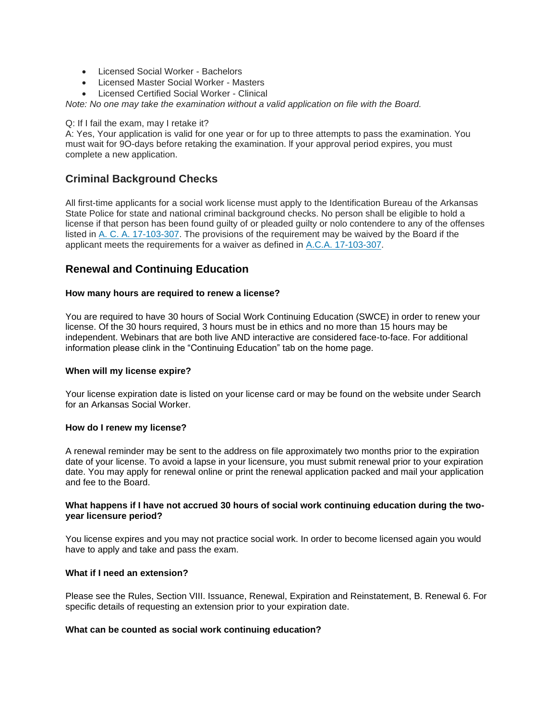- Licensed Social Worker Bachelors
- Licensed Master Social Worker Masters
- Licensed Certified Social Worker Clinical

*Note: No one may take the examination without a valid application on file with the Board.*

#### Q: If I fail the exam, may I retake it?

A: Yes, Your application is valid for one year or for up to three attempts to pass the examination. You must wait for 9O-days before retaking the examination. lf your approval period expires, you must complete a new application.

# **Criminal Background Checks**

All first-time applicants for a social work license must apply to the Identification Bureau of the Arkansas State Police for state and national criminal background checks. No person shall be eligible to hold a license if that person has been found guilty of or pleaded guilty or nolo contendere to any of the offenses listed in [A. C. A. 17-103-307.](https://www.healthy.arkansas.gov/images/uploads/pdf/ACT1170of2015.pdf) The provisions of the requirement may be waived by the Board if the applicant meets the requirements for a waiver as defined in [A.C.A. 17-103-307.](https://www.healthy.arkansas.gov/images/uploads/pdf/ACT1170of2015.pdf)

# **Renewal and Continuing Education**

## **How many hours are required to renew a license?**

You are required to have 30 hours of Social Work Continuing Education (SWCE) in order to renew your license. Of the 30 hours required, 3 hours must be in ethics and no more than 15 hours may be independent. Webinars that are both live AND interactive are considered face-to-face. For additional information please clink in the "Continuing Education" tab on the home page.

## **When will my license expire?**

Your license expiration date is listed on your license card or may be found on the website under Search for an Arkansas Social Worker.

## **How do I renew my license?**

A renewal reminder may be sent to the address on file approximately two months prior to the expiration date of your license. To avoid a lapse in your licensure, you must submit renewal prior to your expiration date. You may apply for renewal online or print the renewal application packed and mail your application and fee to the Board.

## **What happens if I have not accrued 30 hours of social work continuing education during the twoyear licensure period?**

You license expires and you may not practice social work. In order to become licensed again you would have to apply and take and pass the exam.

## **What if I need an extension?**

Please see the Rules, Section VIII. Issuance, Renewal, Expiration and Reinstatement, B. Renewal 6. For specific details of requesting an extension prior to your expiration date.

## **What can be counted as social work continuing education?**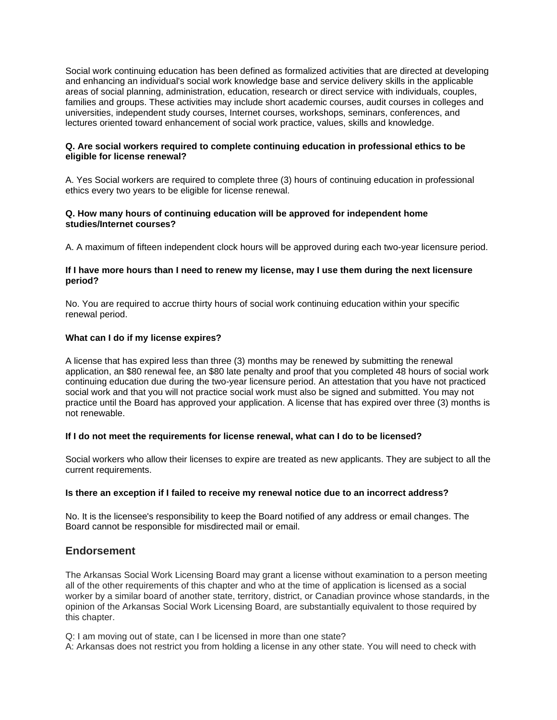Social work continuing education has been defined as formalized activities that are directed at developing and enhancing an individual's social work knowledge base and service delivery skills in the applicable areas of social planning, administration, education, research or direct service with individuals, couples, families and groups. These activities may include short academic courses, audit courses in colleges and universities, independent study courses, Internet courses, workshops, seminars, conferences, and lectures oriented toward enhancement of social work practice, values, skills and knowledge.

## **Q. Are social workers required to complete continuing education in professional ethics to be eligible for license renewal?**

A. Yes Social workers are required to complete three (3) hours of continuing education in professional ethics every two years to be eligible for license renewal.

#### **Q. How many hours of continuing education will be approved for independent home studies/Internet courses?**

A. A maximum of fifteen independent clock hours will be approved during each two-year licensure period.

## **If I have more hours than I need to renew my license, may I use them during the next licensure period?**

No. You are required to accrue thirty hours of social work continuing education within your specific renewal period.

## **What can I do if my license expires?**

A license that has expired less than three (3) months may be renewed by submitting the renewal application, an \$80 renewal fee, an \$80 late penalty and proof that you completed 48 hours of social work continuing education due during the two-year licensure period. An attestation that you have not practiced social work and that you will not practice social work must also be signed and submitted. You may not practice until the Board has approved your application. A license that has expired over three (3) months is not renewable.

## **If I do not meet the requirements for license renewal, what can I do to be licensed?**

Social workers who allow their licenses to expire are treated as new applicants. They are subject to all the current requirements.

## **Is there an exception if I failed to receive my renewal notice due to an incorrect address?**

No. It is the licensee's responsibility to keep the Board notified of any address or email changes. The Board cannot be responsible for misdirected mail or email.

# **Endorsement**

The Arkansas Social Work Licensing Board may grant a license without examination to a person meeting all of the other requirements of this chapter and who at the time of application is licensed as a social worker by a similar board of another state, territory, district, or Canadian province whose standards, in the opinion of the Arkansas Social Work Licensing Board, are substantially equivalent to those required by this chapter.

Q: I am moving out of state, can I be licensed in more than one state?

A: Arkansas does not restrict you from holding a license in any other state. You will need to check with